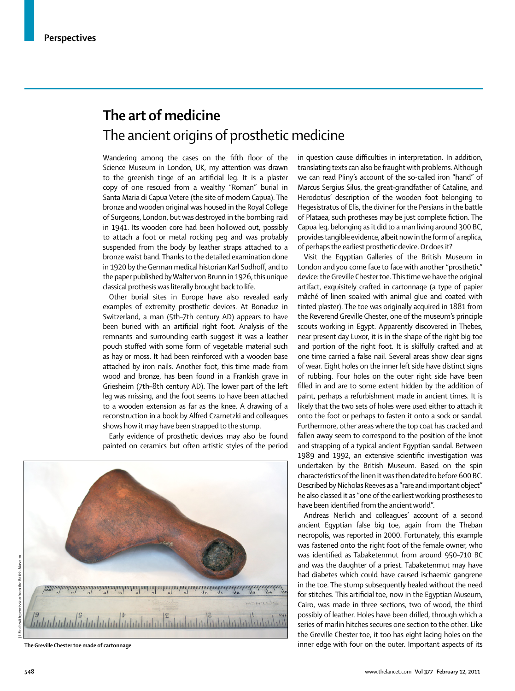## **The art of medicine** The ancient origins of prosthetic medicine

Wandering among the cases on the fifth floor of the Science Museum in London, UK, my attention was drawn to the greenish tinge of an artificial leg. It is a plaster copy of one rescued from a wealthy "Roman" burial in Santa Maria di Capua Vetere (the site of modern Capua). The bronze and wooden original was housed in the Royal College of Surgeons, London, but was destroyed in the bombing raid in 1941. Its wooden core had been hollowed out, possibly to attach a foot or metal rocking peg and was probably suspended from the body by leather straps attached to a bronze waist band. Thanks to the detailed examination done in 1920 by the German medical historian Karl Sudhoff, and to the paper published by Walter von Brunn in 1926, this unique classical prothesis was literally brought back to life.

Other burial sites in Europe have also revealed early examples of extremity prosthetic devices. At Bonaduz in Switzerland, a man (5th–7th century AD) appears to have been buried with an artificial right foot. Analysis of the remnants and surrounding earth suggest it was a leather pouch stuffed with some form of vegetable material such as hay or moss. It had been reinforced with a wooden base attached by iron nails. Another foot, this time made from wood and bronze, has been found in a Frankish grave in Griesheim (7th–8th century AD). The lower part of the left leg was missing, and the foot seems to have been attached to a wooden extension as far as the knee. A drawing of a reconstruction in a book by Alfred Czarnetzki and colleagues shows how it may have been strapped to the stump.

Early evidence of prosthetic devices may also be found painted on ceramics but often artistic styles of the period



in question cause difficulties in interpretation. In addition, translating texts can also be fraught with problems. Although we can read Pliny's account of the so-called iron "hand" of Marcus Sergius Silus, the great-grandfather of Cataline, and Herodotus' description of the wooden foot belonging to Hegesistratus of Elis, the diviner for the Persians in the battle of Plataea, such protheses may be just complete fiction. The Capua leg, belonging as it did to a man living around 300 BC, provides tangible evidence, albeit now in the form of a replica, of perhaps the earliest prosthetic device. Or does it?

Visit the Egyptian Galleries of the British Museum in London and you come face to face with another "prosthetic" device: the Greville Chester toe. This time we have the original artifact, exquisitely crafted in cartonnage (a type of papier mâché of linen soaked with animal glue and coated with tinted plaster). The toe was originally acquired in 1881 from the Reverend Greville Chester, one of the museum's principle scouts working in Egypt. Apparently discovered in Thebes, near present day Luxor, it is in the shape of the right big toe and portion of the right foot. It is skilfully crafted and at one time carried a false nail. Several areas show clear signs of wear. Eight holes on the inner left side have distinct signs of rubbing. Four holes on the outer right side have been filled in and are to some extent hidden by the addition of paint, perhaps a refurbishment made in ancient times. It is likely that the two sets of holes were used either to attach it onto the foot or perhaps to fasten it onto a sock or sandal. Furthermore, other areas where the top coat has cracked and fallen away seem to correspond to the position of the knot and strapping of a typical ancient Egyptian sandal. Between 1989 and 1992, an extensive scientific investigation was undertaken by the British Museum. Based on the spin characteristics of the linen it was then dated to before 600 BC. Described by Nicholas Reeves as a "rare and important object" he also classed it as "one of the earliest working prostheses to have been identified from the ancient world".

Andreas Nerlich and colleagues' account of a second ancient Egyptian false big toe, again from the Theban necropolis, was reported in 2000. Fortunately, this example was fastened onto the right foot of the female owner, who was identified as Tabaketenmut from around 950–710 BC and was the daughter of a priest. Tabaketenmut may have had diabetes which could have caused ischaemic gangrene in the toe. The stump subsequently healed without the need for stitches. This artificial toe, now in the Egyptian Museum, Cairo, was made in three sections, two of wood, the third possibly of leather. Holes have been drilled, through which a series of marlin hitches secures one section to the other. Like the Greville Chester toe, it too has eight lacing holes on the **The Greville Chester toe made of cartonnage** inner edge with four on the outer. Important aspects of its